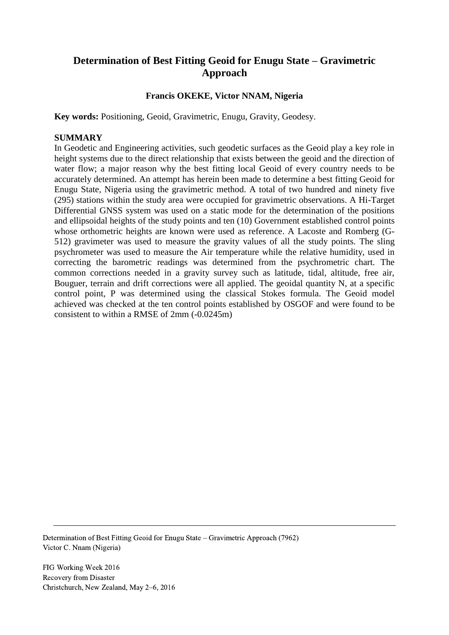# **Determination of Best Fitting Geoid for Enugu State – Gravimetric Approach**

# **Francis OKEKE, Victor NNAM, Nigeria**

**Key words:** Positioning, Geoid, Gravimetric, Enugu, Gravity, Geodesy.

#### **SUMMARY**

In Geodetic and Engineering activities, such geodetic surfaces as the Geoid play a key role in height systems due to the direct relationship that exists between the geoid and the direction of water flow; a major reason why the best fitting local Geoid of every country needs to be accurately determined. An attempt has herein been made to determine a best fitting Geoid for Enugu State, Nigeria using the gravimetric method. A total of two hundred and ninety five (295) stations within the study area were occupied for gravimetric observations. A Hi-Target Differential GNSS system was used on a static mode for the determination of the positions and ellipsoidal heights of the study points and ten (10) Government established control points whose orthometric heights are known were used as reference. A Lacoste and Romberg (G-512) gravimeter was used to measure the gravity values of all the study points. The sling psychrometer was used to measure the Air temperature while the relative humidity, used in correcting the barometric readings was determined from the psychrometric chart. The common corrections needed in a gravity survey such as latitude, tidal, altitude, free air, Bouguer, terrain and drift corrections were all applied. The geoidal quantity N, at a specific control point, P was determined using the classical Stokes formula. The Geoid model achieved was checked at the ten control points established by OSGOF and were found to be consistent to within a RMSE of 2mm (-0.0245m)

Determination of Best Fitting Geoid for Enugu State – Gravimetric Approach (7962) Victor C. Nnam (Nigeria)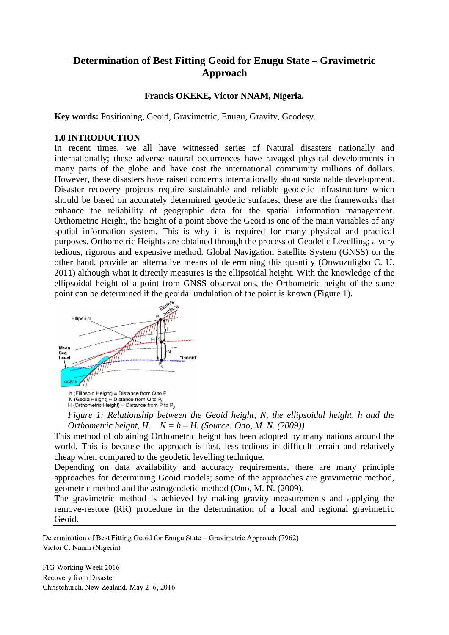# **Determination of Best Fitting Geoid for Enugu State – Gravimetric Approach**

## **Francis OKEKE, Victor NNAM, Nigeria.**

**Key words:** Positioning, Geoid, Gravimetric, Enugu, Gravity, Geodesy.

#### **1.0 INTRODUCTION**

In recent times, we all have witnessed series of Natural disasters nationally and internationally; these adverse natural occurrences have ravaged physical developments in many parts of the globe and have cost the international community millions of dollars. However, these disasters have raised concerns internationally about sustainable development. Disaster recovery projects require sustainable and reliable geodetic infrastructure which should be based on accurately determined geodetic surfaces; these are the frameworks that enhance the reliability of geographic data for the spatial information management. Orthometric Height, the height of a point above the Geoid is one of the main variables of any spatial information system. This is why it is required for many physical and practical purposes. Orthometric Heights are obtained through the process of Geodetic Levelling; a very tedious, rigorous and expensive method. Global Navigation Satellite System (GNSS) on the other hand, provide an alternative means of determining this quantity (Onwuzuligbo C. U. 2011) although what it directly measures is the ellipsoidal height. With the knowledge of the ellipsoidal height of a point from GNSS observations, the Orthometric height of the same point can be determined if the geoidal undulation of the point is known (Figure 1).



N (Geoid Height) = Distance from  $Q$  to  $P_0$ <br>H (Orthometric Height) = Distance from P to  $P_0$ 

*Figure 1: Relationship between the Geoid height, N, the ellipsoidal height, h and the Orthometric height, H. N = h – H. (Source: Ono, M. N. (2009))*

This method of obtaining Orthometric height has been adopted by many nations around the world. This is because the approach is fast, less tedious in difficult terrain and relatively cheap when compared to the geodetic levelling technique.

Depending on data availability and accuracy requirements, there are many principle approaches for determining Geoid models; some of the approaches are gravimetric method, geometric method and the astrogeodetic method (Ono, M. N. (2009).

The gravimetric method is achieved by making gravity measurements and applying the remove-restore (RR) procedure in the determination of a local and regional gravimetric Geoid.

Determination of Best Fitting Geoid for Enugu State – Gravimetric Approach (7962) Victor C. Nnam (Nigeria)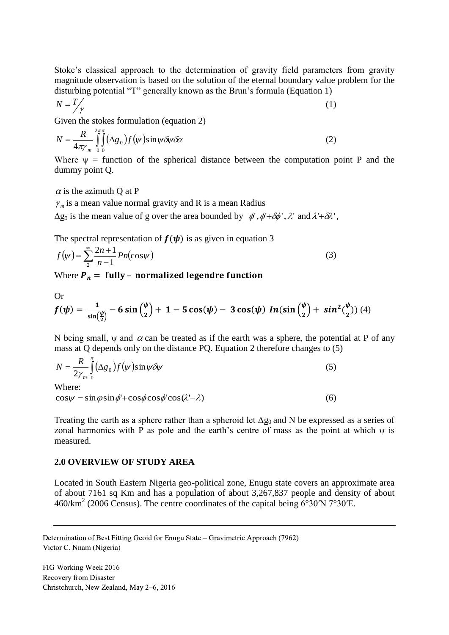Stoke's classical approach to the determination of gravity field parameters from gravity magnitude observation is based on the solution of the eternal boundary value problem for the disturbing potential "T" generally known as the Brun's formula (Equation 1)

$$
N = \frac{T}{\gamma} \tag{1}
$$

Given the stokes formulation (equation 2)

$$
N = \frac{R}{4\pi\gamma_m} \int_{0}^{2\pi} \int_{0}^{2\pi} (\Delta g_0) f(\psi) \sin \psi \delta \psi \delta \alpha
$$
 (2)

Where  $\psi$  = function of the spherical distance between the computation point P and the dummy point Q.

 $\alpha$  is the azimuth Q at P

 $\gamma_m$  is a mean value normal gravity and R is a mean Radius

 $\Delta g_0$  is the mean value of g over the area bounded by  $\phi'$ ,  $\phi' + \delta \phi'$ ,  $\lambda'$  and  $\lambda' + \delta \lambda'$ ,

The spectral representation of  $f(\psi)$  is as given in equation 3

$$
f(\psi) = \sum_{2}^{\infty} \frac{2n+1}{n-1} P_n(\cos \psi)
$$
 (3)

Where  $P_n =$  fully - normalized legendre function

Or

$$
f(\psi) = \frac{1}{\sin(\frac{\psi}{2})} - 6\sin(\frac{\psi}{2}) + 1 - 5\cos(\psi) - 3\cos(\psi) \ln(\sin(\frac{\psi}{2}) + \sin^2(\frac{\psi}{2}))
$$
 (4)

N being small,  $\psi$  and  $\alpha$  can be treated as if the earth was a sphere, the potential at P of any mass at Q depends only on the distance PQ. Equation 2 therefore changes to (5)

$$
N = \frac{R}{2\gamma_m} \int_{0}^{\pi} (\Delta g_0) f(\psi) \sin \psi \delta \psi
$$
 (5)

Where:

 $\cos\psi = \sin\varphi \sin\phi' + \cos\phi \cos\phi' \cos(\lambda - \lambda)$ 

Treating the earth as a sphere rather than a spheroid let  $\Delta g_0$  and N be expressed as a series of zonal harmonics with P as pole and the earth's centre of mass as the point at which  $\psi$  is measured.

(6)

#### **2.0 OVERVIEW OF STUDY AREA**

Located in South Eastern Nigeria geo-political zone, Enugu state covers an approximate area of about 7161 sq Km and has a population of about 3,267,837 people and density of about  $460/\text{km}^2$  (2006 Census). The centre coordinates of the capital being [6°30′N](https://tools.wmflabs.org/geohack/geohack.php?pagename=Enugu_State¶ms=6_30_N_7_30_E_region:NG_type:adm1st) 7°30′E.

Determination of Best Fitting Geoid for Enugu State – Gravimetric Approach (7962) Victor C. Nnam (Nigeria)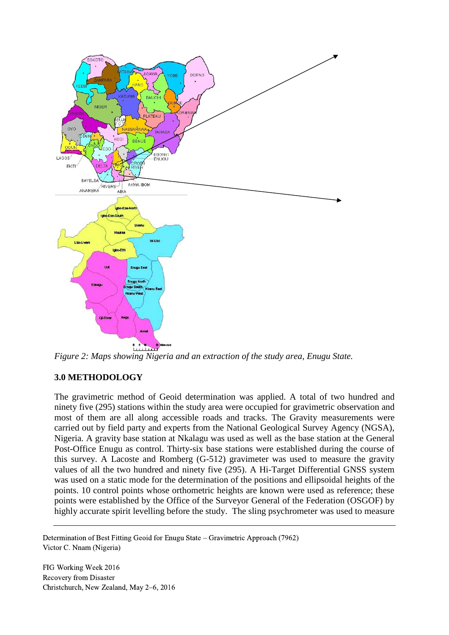

*Figure 2: Maps showing Nigeria and an extraction of the study area, Enugu State.*

# **3.0 METHODOLOGY**

The gravimetric method of Geoid determination was applied. A total of two hundred and ninety five (295) stations within the study area were occupied for gravimetric observation and most of them are all along accessible roads and tracks. The Gravity measurements were carried out by field party and experts from the National Geological Survey Agency (NGSA), Nigeria. A gravity base station at Nkalagu was used as well as the base station at the General Post-Office Enugu as control. Thirty-six base stations were established during the course of this survey. A Lacoste and Romberg (G-512) gravimeter was used to measure the gravity values of all the two hundred and ninety five (295). A Hi-Target Differential GNSS system was used on a static mode for the determination of the positions and ellipsoidal heights of the points. 10 control points whose orthometric heights are known were used as reference; these points were established by the Office of the Surveyor General of the Federation (OSGOF) by highly accurate spirit levelling before the study. The sling psychrometer was used to measure

Determination of Best Fitting Geoid for Enugu State – Gravimetric Approach (7962) Victor C. Nnam (Nigeria)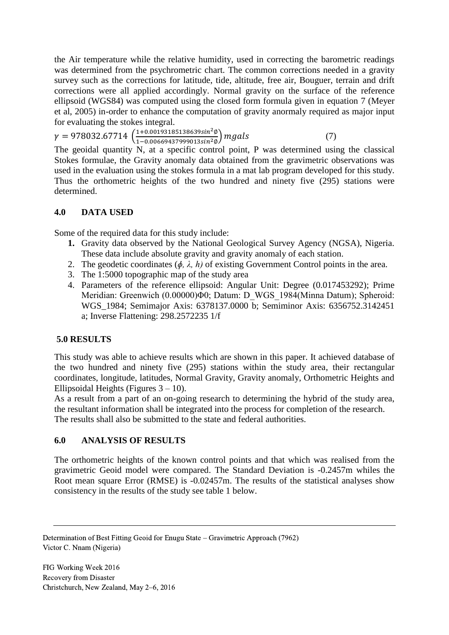the Air temperature while the relative humidity, used in correcting the barometric readings was determined from the psychrometric chart. The common corrections needed in a gravity survey such as the corrections for latitude, tide, altitude, free air, Bouguer, terrain and drift corrections were all applied accordingly. Normal gravity on the surface of the reference ellipsoid (WGS84) was computed using the closed form formula given in equation 7 (Meyer et al, 2005) in-order to enhance the computation of gravity anormaly required as major input for evaluating the stokes integral.

 $\gamma = 978032.67714 \left( \frac{1+0.00193185138639sin^2 \phi}{1+0.002660427929942sin^2 \phi} \right)$  $\frac{1+0.0019518515865951t}{1-0.00669437999013\sin^2\phi} mgals$  (7)

The geoidal quantity N, at a specific control point, P was determined using the classical Stokes formulae, the Gravity anomaly data obtained from the gravimetric observations was used in the evaluation using the stokes formula in a mat lab program developed for this study. Thus the orthometric heights of the two hundred and ninety five (295) stations were determined.

# **4.0 DATA USED**

Some of the required data for this study include:

- **1.** Gravity data observed by the National Geological Survey Agency (NGSA), Nigeria. These data include absolute gravity and gravity anomaly of each station.
- 2. The geodetic coordinates (*ɸ, λ, h)* of existing Government Control points in the area.
- 3. The 1:5000 topographic map of the study area
- 4. Parameters of the reference ellipsoid: Angular Unit: Degree (0.017453292); Prime Meridian: Greenwich (0.00000)Φ0; Datum: D\_WGS\_1984(Minna Datum); Spheroid: WGS\_1984; Semimajor Axis: 6378137.0000 b; Semiminor Axis: 6356752.3142451 a; Inverse Flattening: 298.2572235 1/f

# **5.0 RESULTS**

This study was able to achieve results which are shown in this paper. It achieved database of the two hundred and ninety five (295) stations within the study area, their rectangular coordinates, longitude, latitudes, Normal Gravity, Gravity anomaly, Orthometric Heights and Ellipsoidal Heights (Figures  $3 - 10$ ).

As a result from a part of an on-going research to determining the hybrid of the study area, the resultant information shall be integrated into the process for completion of the research. The results shall also be submitted to the state and federal authorities.

### **6.0 ANALYSIS OF RESULTS**

The orthometric heights of the known control points and that which was realised from the gravimetric Geoid model were compared. The Standard Deviation is -0.2457m whiles the Root mean square Error (RMSE) is -0.02457m. The results of the statistical analyses show consistency in the results of the study see table 1 below.

Determination of Best Fitting Geoid for Enugu State – Gravimetric Approach (7962) Victor C. Nnam (Nigeria)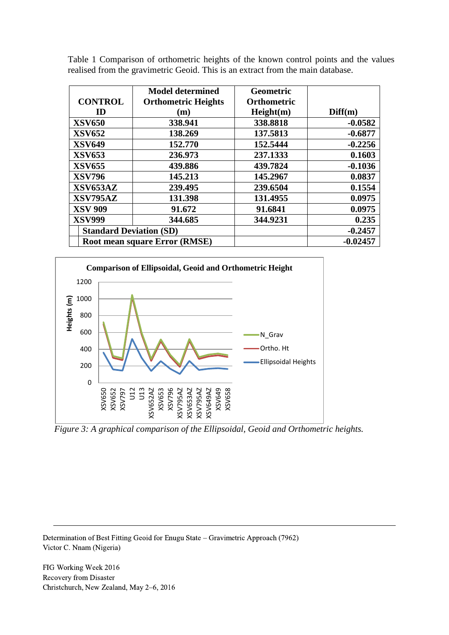|                                      | <b>Model determined</b>    | <b>Geometric</b>   |            |
|--------------------------------------|----------------------------|--------------------|------------|
| <b>CONTROL</b>                       | <b>Orthometric Heights</b> | <b>Orthometric</b> |            |
| ID                                   | (m)                        | Height(m)          | Diff(m)    |
| <b>XSV650</b>                        | 338.941                    | 338.8818           | $-0.0582$  |
| <b>XSV652</b>                        | 138.269                    | 137.5813           | $-0.6877$  |
| <b>XSV649</b>                        | 152.770                    | 152.5444           | $-0.2256$  |
| <b>XSV653</b>                        | 236.973                    | 237.1333           | 0.1603     |
| <b>XSV655</b>                        | 439.886                    | 439.7824           | $-0.1036$  |
| <b>XSV796</b>                        | 145.213                    | 145.2967           | 0.0837     |
| XSV653AZ                             | 239.495                    | 239.6504           | 0.1554     |
| XSV795AZ                             | 131.398                    | 131.4955           | 0.0975     |
| <b>XSV 909</b>                       | 91.672                     | 91.6841            | 0.0975     |
| <b>XSV999</b>                        | 344.685                    | 344.9231           | 0.235      |
| <b>Standard Deviation (SD)</b>       |                            |                    | $-0.2457$  |
| <b>Root mean square Error (RMSE)</b> |                            |                    | $-0.02457$ |

Table 1 Comparison of orthometric heights of the known control points and the values realised from the gravimetric Geoid. This is an extract from the main database.



*Figure 3: A graphical comparison of the Ellipsoidal, Geoid and Orthometric heights.*

Determination of Best Fitting Geoid for Enugu State – Gravimetric Approach (7962) Victor C. Nnam (Nigeria)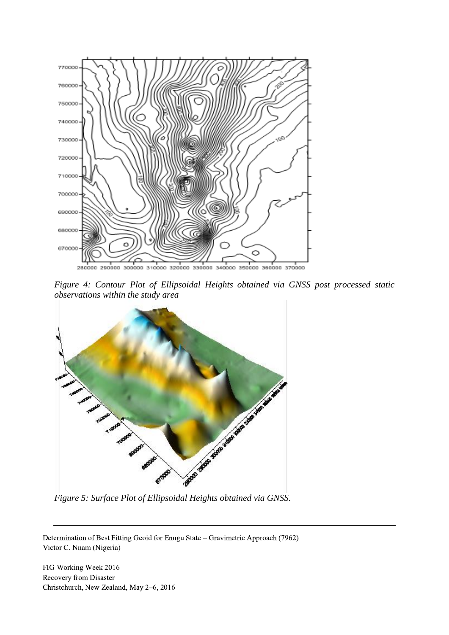

*Figure 4: Contour Plot of Ellipsoidal Heights obtained via GNSS post processed static observations within the study area*



Determination of Best Fitting Geoid for Enugu State – Gravimetric Approach (7962) Victor C. Nnam (Nigeria)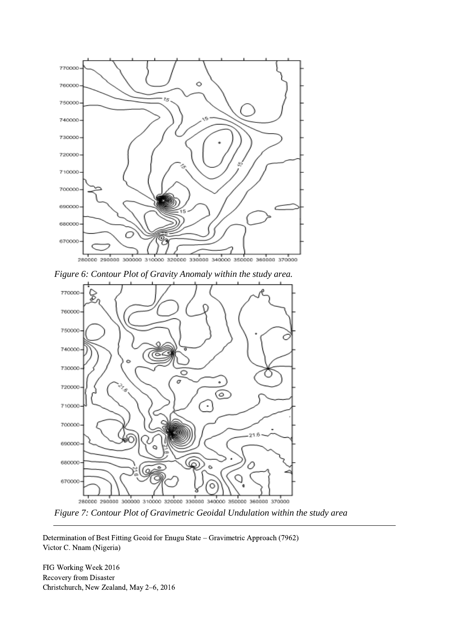





*Figure 7: Contour Plot of Gravimetric Geoidal Undulation within the study area*

Determination of Best Fitting Geoid for Enugu State – Gravimetric Approach (7962) Victor C. Nnam (Nigeria)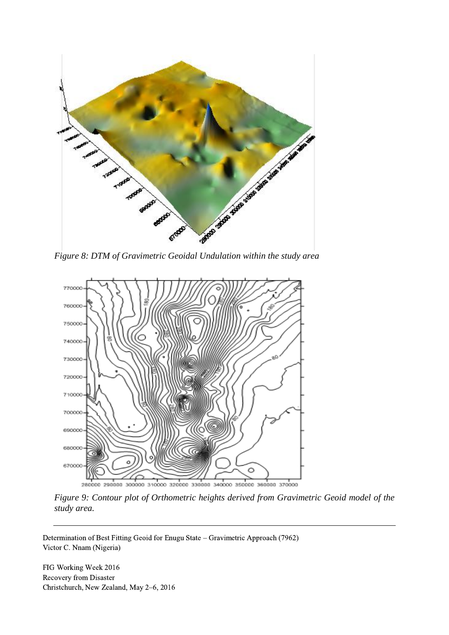



*Figure 9: Contour plot of Orthometric heights derived from Gravimetric Geoid model of the study area.*

Determination of Best Fitting Geoid for Enugu State – Gravimetric Approach (7962) Victor C. Nnam (Nigeria)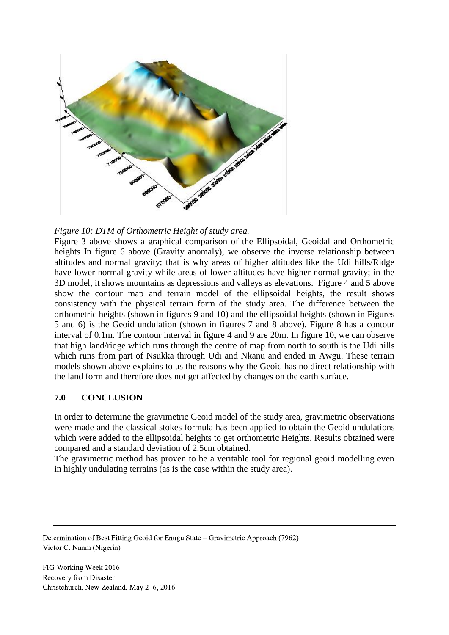



Figure 3 above shows a graphical comparison of the Ellipsoidal, Geoidal and Orthometric heights In figure 6 above (Gravity anomaly), we observe the inverse relationship between altitudes and normal gravity; that is why areas of higher altitudes like the Udi hills/Ridge have lower normal gravity while areas of lower altitudes have higher normal gravity; in the 3D model, it shows mountains as depressions and valleys as elevations. Figure 4 and 5 above show the contour map and terrain model of the ellipsoidal heights, the result shows consistency with the physical terrain form of the study area. The difference between the orthometric heights (shown in figures 9 and 10) and the ellipsoidal heights (shown in Figures 5 and 6) is the Geoid undulation (shown in figures 7 and 8 above). Figure 8 has a contour interval of 0.1m. The contour interval in figure 4 and 9 are 20m. In figure 10, we can observe that high land/ridge which runs through the centre of map from north to south is the Udi hills which runs from part of Nsukka through Udi and Nkanu and ended in Awgu. These terrain models shown above explains to us the reasons why the Geoid has no direct relationship with the land form and therefore does not get affected by changes on the earth surface.

# **7.0 CONCLUSION**

In order to determine the gravimetric Geoid model of the study area, gravimetric observations were made and the classical stokes formula has been applied to obtain the Geoid undulations which were added to the ellipsoidal heights to get orthometric Heights. Results obtained were compared and a standard deviation of 2.5cm obtained.

The gravimetric method has proven to be a veritable tool for regional geoid modelling even in highly undulating terrains (as is the case within the study area).

Determination of Best Fitting Geoid for Enugu State – Gravimetric Approach (7962) Victor C. Nnam (Nigeria)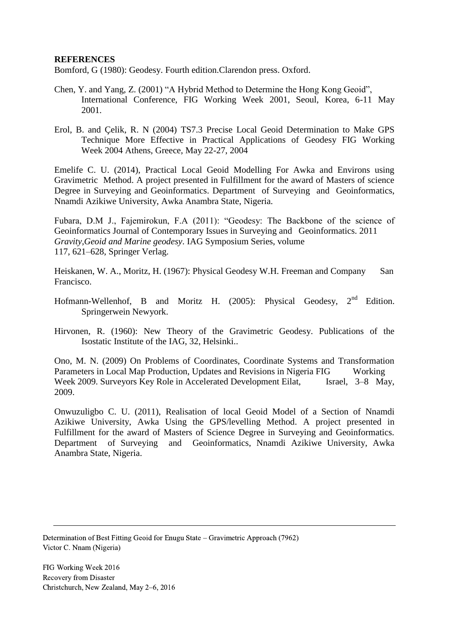#### **REFERENCES**

Bomford, G (1980): Geodesy. Fourth edition.Clarendon press. Oxford.

- Chen, Y. and Yang, Z. (2001) "A Hybrid Method to Determine the Hong Kong Geoid", International Conference, FIG Working Week 2001, Seoul, Korea, 6-11 May 2001.
- Erol, B. and Çelik, R. N (2004) TS7.3 Precise Local Geoid Determination to Make GPS Technique More Effective in Practical Applications of Geodesy FIG Working Week 2004 Athens, Greece, May 22-27, 2004

Emelife C. U. (2014), Practical Local Geoid Modelling For Awka and Environs using Gravimetric Method. A project presented in Fulfillment for the award of Masters of science Degree in Surveying and Geoinformatics. Department of Surveying and Geoinformatics, Nnamdi Azikiwe University, Awka Anambra State, Nigeria.

Fubara, D.M J., Fajemirokun, F.A (2011): "Geodesy: The Backbone of the science of Geoinformatics Journal of Contemporary Issues in Surveying and Geoinformatics. 2011 *Gravity,Geoid and Marine geodesy*. IAG Symposium Series, volume 117, 621–628, Springer Verlag.

Heiskanen, W. A., Moritz, H. (1967): Physical Geodesy W.H. Freeman and Company San Francisco.

- Hofmann-Wellenhof, B and Moritz H. (2005): Physical Geodesy,  $2^{nd}$  Edition. Springerwein Newyork.
- Hirvonen, R. (1960): New Theory of the Gravimetric Geodesy. Publications of the Isostatic Institute of the IAG, 32, Helsinki..

Ono, M. N. (2009) On Problems of Coordinates, Coordinate Systems and Transformation Parameters in Local Map Production, Updates and Revisions in Nigeria FIG Working Week 2009. Surveyors Key Role in Accelerated Development Eilat, Israel, 3–8 May, 2009.

Onwuzuligbo C. U. (2011), Realisation of local Geoid Model of a Section of Nnamdi Azikiwe University, Awka Using the GPS/levelling Method. A project presented in Fulfillment for the award of Masters of Science Degree in Surveying and Geoinformatics. Department of Surveying and Geoinformatics, Nnamdi Azikiwe University, Awka Anambra State, Nigeria.

Determination of Best Fitting Geoid for Enugu State – Gravimetric Approach (7962) Victor C. Nnam (Nigeria)